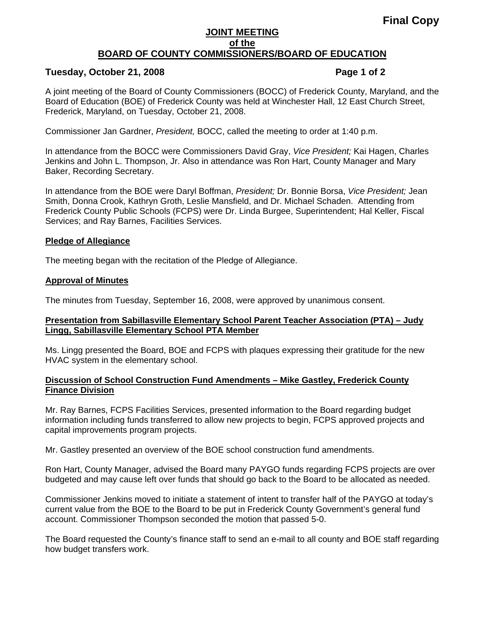# **Final Copy**

## **JOINT MEETING of the BOARD OF COUNTY COMMISSIONERS/BOARD OF EDUCATION**

# **Tuesday, October 21, 2008 Page 1 of 2**

A joint meeting of the Board of County Commissioners (BOCC) of Frederick County, Maryland, and the Board of Education (BOE) of Frederick County was held at Winchester Hall, 12 East Church Street, Frederick, Maryland, on Tuesday, October 21, 2008.

Commissioner Jan Gardner, *President,* BOCC, called the meeting to order at 1:40 p.m.

In attendance from the BOCC were Commissioners David Gray, *Vice President;* Kai Hagen, Charles Jenkins and John L. Thompson, Jr. Also in attendance was Ron Hart, County Manager and Mary Baker, Recording Secretary.

In attendance from the BOE were Daryl Boffman, *President;* Dr. Bonnie Borsa, *Vice President;* Jean Smith, Donna Crook, Kathryn Groth, Leslie Mansfield, and Dr. Michael Schaden. Attending from Frederick County Public Schools (FCPS) were Dr. Linda Burgee, Superintendent; Hal Keller, Fiscal Services; and Ray Barnes, Facilities Services.

#### **Pledge of Allegiance**

The meeting began with the recitation of the Pledge of Allegiance.

## **Approval of Minutes**

The minutes from Tuesday, September 16, 2008, were approved by unanimous consent.

## **Presentation from Sabillasville Elementary School Parent Teacher Association (PTA) – Judy Lingg, Sabillasville Elementary School PTA Member**

Ms. Lingg presented the Board, BOE and FCPS with plaques expressing their gratitude for the new HVAC system in the elementary school.

## **Discussion of School Construction Fund Amendments – Mike Gastley, Frederick County Finance Division**

Mr. Ray Barnes, FCPS Facilities Services, presented information to the Board regarding budget information including funds transferred to allow new projects to begin, FCPS approved projects and capital improvements program projects.

Mr. Gastley presented an overview of the BOE school construction fund amendments.

Ron Hart, County Manager, advised the Board many PAYGO funds regarding FCPS projects are over budgeted and may cause left over funds that should go back to the Board to be allocated as needed.

Commissioner Jenkins moved to initiate a statement of intent to transfer half of the PAYGO at today's current value from the BOE to the Board to be put in Frederick County Government's general fund account. Commissioner Thompson seconded the motion that passed 5-0.

The Board requested the County's finance staff to send an e-mail to all county and BOE staff regarding how budget transfers work.